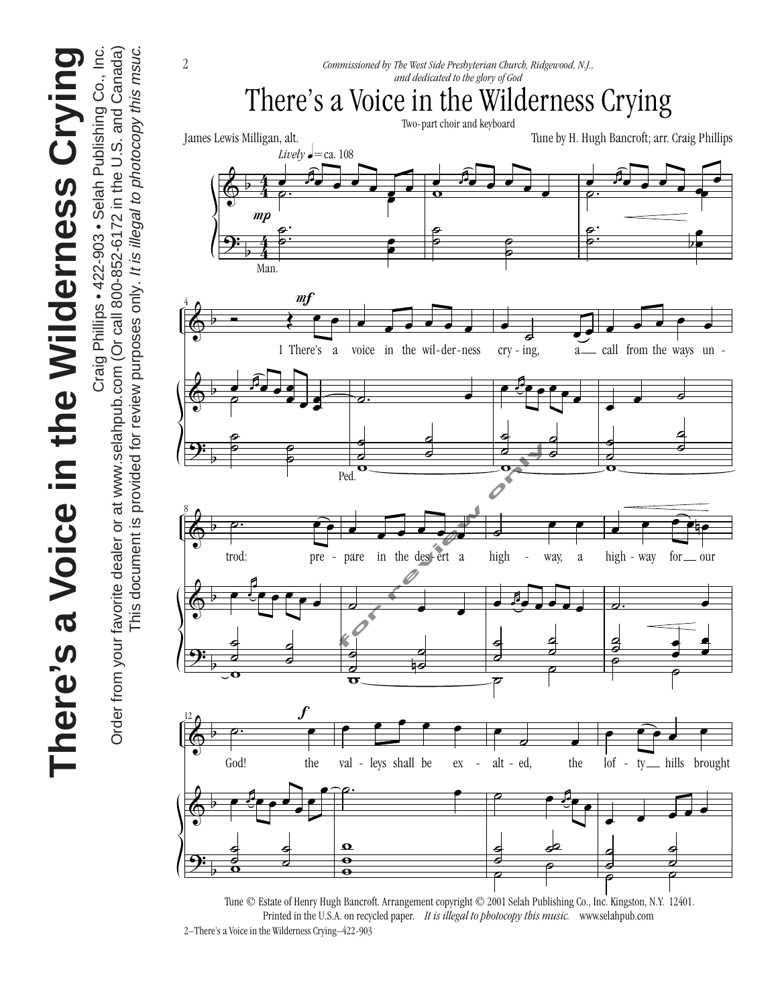**There's a Voice in the Wilderness Crying** There's a Voice in the Wilderness Crying





<sup>2–</sup>There's a Voice in the Wilderness Crying–422-903 Printed in the U.S.A. on recycled paper. *It is illegal to photocopy this music.* www.selahpub.com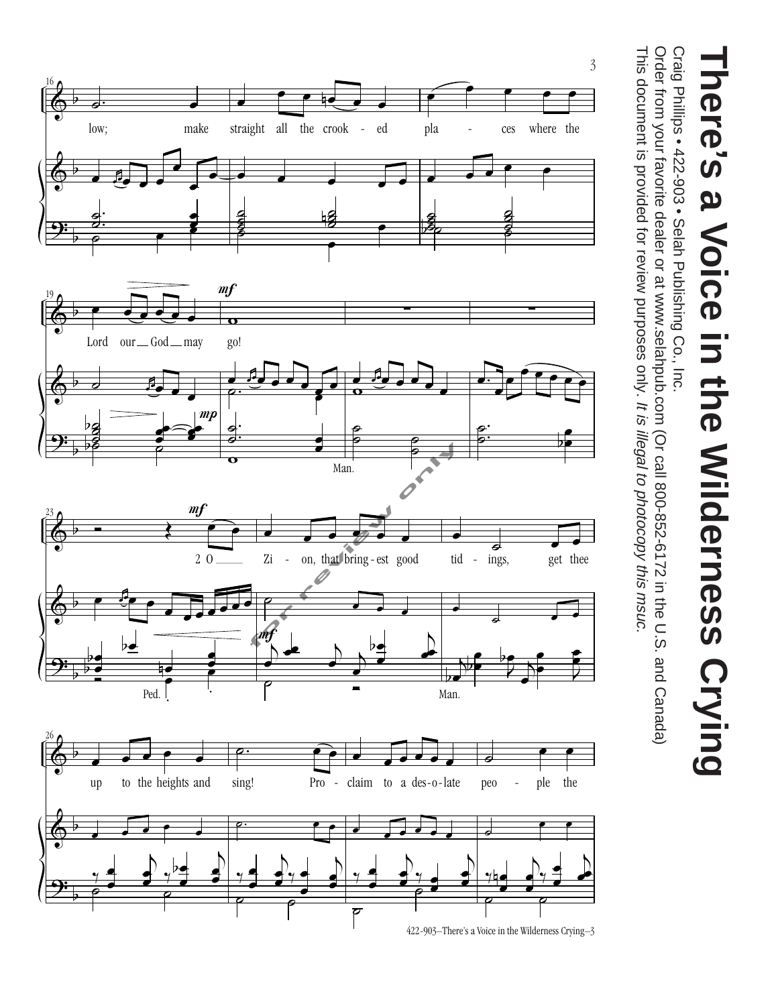

Craig Philips • 422-903 • Selah Publishing Co., Inc. Craig Phillips • 422-903 • Selah Publishing Co., Inc.

This document is provided for review purposes only. It is illegal to photocopy this msuc. Order from your favorite dealer or at www.selahpub.com (Or call 800-852-6172 in the U.S. and Canada) This document is provided for review purposes only. Order from your favorite dealer or at www.selahpub.com (Or call 800-852-6172 in the U.S. and Canada) It is illegal to photocopy this msuc.

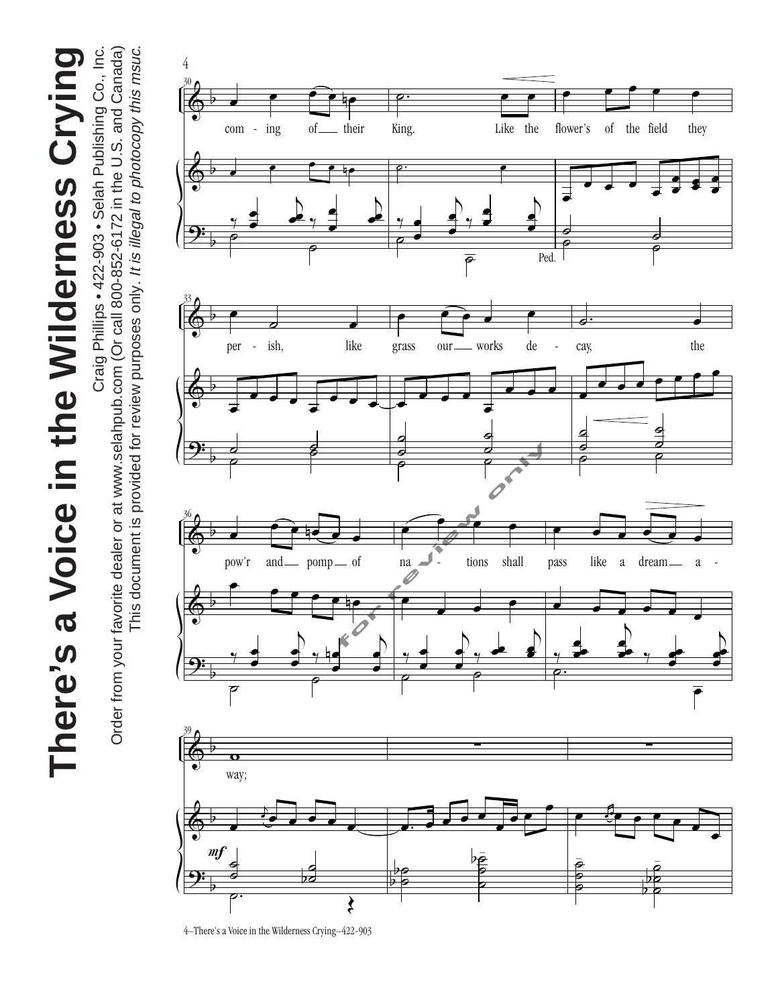There's a Voice in the Wilderness Crying **There's a Voice in the Wilderness Crying**

Craig Phillips . 422-903 . Selah Publishing Co., Inc. Order from your favorite dealer or at www.selahpub.com (Or call 800-852-6172 in the U.S. and Canada) This document is provided for review purposes only. It is illegal to photocopy this msuc. This document is provided for review purposes only. It is illegal to photocopy this msuc. Craig Phillips • 422-903 • Selah Publishing Co., Inc. Order from your favorite dealer or at www.selahpub.com (Or call 800-852-6172 in the U.S. and Canada)

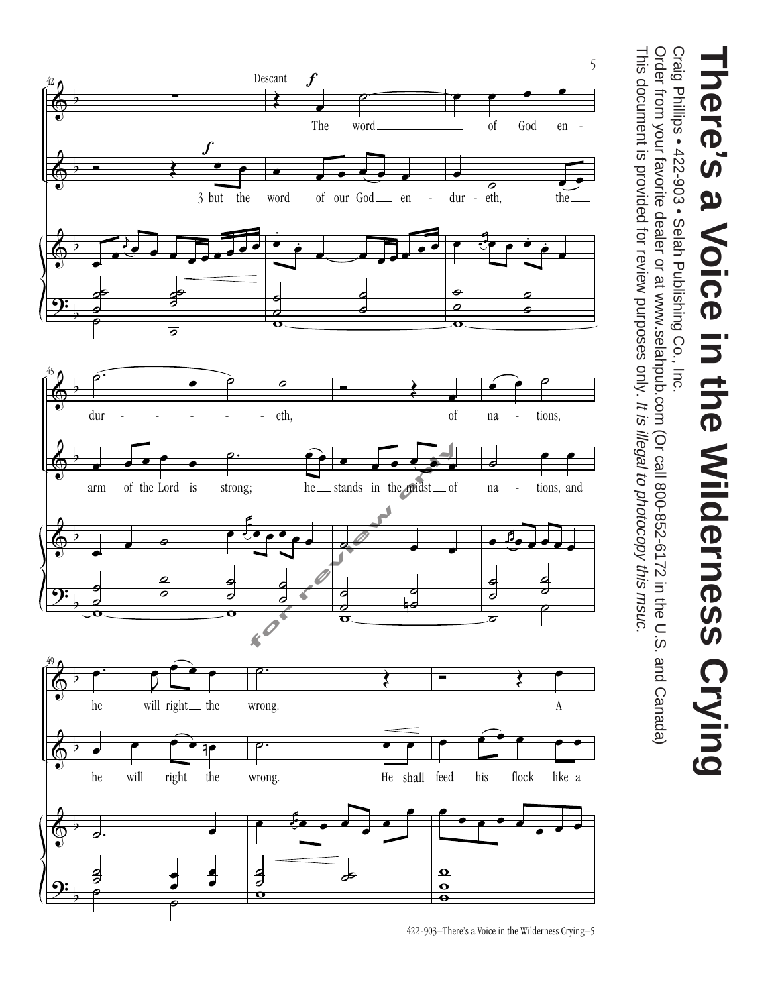

Craig Philips • 422-903 • Selah Publishing Co., Inc. Craig Phillips • 422-903 • Selah Publishing Co., Inc.

This document is provided for review purposes only. It is illegal to photocopy this msuc. Order from your favorite dealer or at www.selahpub.com (Or call 800-852-6172 in the U.S. and Canada) This document is provided for review purposes only. Order from your favorite dealer or at www.selahpub.com (Or call 800-852-6172 in the U.S. and Canada) It is illegal to photocopy this msuc.